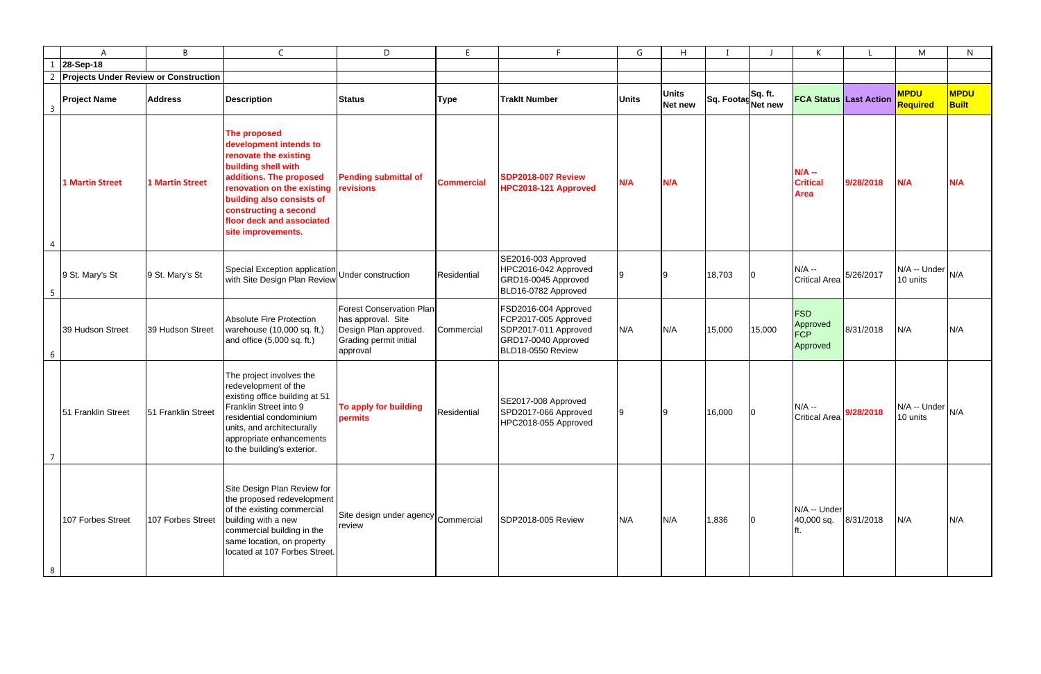|                 | A                                            | B                      | $\mathsf{C}$                                                                                                                                                                                                                                             | D                                                                                                                    | E                 | E                                                                                                                | G            | H                       |                              |                | K                                                |           | M                               | N                           |
|-----------------|----------------------------------------------|------------------------|----------------------------------------------------------------------------------------------------------------------------------------------------------------------------------------------------------------------------------------------------------|----------------------------------------------------------------------------------------------------------------------|-------------------|------------------------------------------------------------------------------------------------------------------|--------------|-------------------------|------------------------------|----------------|--------------------------------------------------|-----------|---------------------------------|-----------------------------|
|                 | 28-Sep-18                                    |                        |                                                                                                                                                                                                                                                          |                                                                                                                      |                   |                                                                                                                  |              |                         |                              |                |                                                  |           |                                 |                             |
|                 | <b>Projects Under Review or Construction</b> |                        |                                                                                                                                                                                                                                                          |                                                                                                                      |                   |                                                                                                                  |              |                         |                              |                |                                                  |           |                                 |                             |
| $\overline{3}$  | <b>Project Name</b>                          | <b>Address</b>         | <b>Description</b>                                                                                                                                                                                                                                       | <b>Status</b>                                                                                                        | <b>Type</b>       | <b>Traklt Number</b>                                                                                             | <b>Units</b> | <b>Units</b><br>Net new | Sq. FootagSq. ft.<br>Net new |                | <b>FCA Status Last Action</b>                    |           | <b>MPDU</b><br><b>Required</b>  | <b>MPDU</b><br><b>Built</b> |
| $\overline{4}$  | <b>1 Martin Street</b>                       | <b>1 Martin Street</b> | The proposed<br>development intends to<br>renovate the existing<br>building shell with<br>additions. The proposed<br>renovation on the existing<br>building also consists of<br>constructing a second<br>floor deck and associated<br>site improvements. | <b>Pending submittal of</b><br>revisions                                                                             | <b>Commercial</b> | <b>SDP2018-007 Review</b><br>HPC2018-121 Approved                                                                | N/A          | N/A                     |                              |                | $N/A -$<br><b>Critical</b><br><b>Area</b>        | 9/28/2018 | N/A                             | N/A                         |
| $5\phantom{.0}$ | 9 St. Mary's St                              | 9 St. Mary's St        | Special Exception application<br>with Site Design Plan Review                                                                                                                                                                                            | Under construction                                                                                                   | Residential       | SE2016-003 Approved<br>HPC2016-042 Approved<br>GRD16-0045 Approved<br>BLD16-0782 Approved                        |              |                         | 18,703                       | $\overline{0}$ | $N/A -$<br><b>Critical Area</b>                  | 5/26/2017 | N/A -- Under<br>10 units        | N/A                         |
| 6               | 39 Hudson Street                             | 39 Hudson Street       | Absolute Fire Protection<br>warehouse (10,000 sq. ft.)<br>and office (5,000 sq. ft.)                                                                                                                                                                     | <b>Forest Conservation Plan</b><br>has approval. Site<br>Design Plan approved.<br>Grading permit initial<br>approval | Commercial        | FSD2016-004 Approved<br>FCP2017-005 Approved<br>SDP2017-011 Approved<br>GRD17-0040 Approved<br>BLD18-0550 Review | N/A          | N/A                     | 15,000                       | 15,000         | <b>FSD</b><br>Approved<br><b>FCP</b><br>Approved | 8/31/2018 | N/A                             | N/A                         |
| $\overline{7}$  | 51 Franklin Street                           | 51 Franklin Street     | The project involves the<br>redevelopment of the<br>existing office building at 51<br>Franklin Street into 9<br>residential condominium<br>units, and architecturally<br>appropriate enhancements<br>to the building's exterior.                         | To apply for building<br>permits                                                                                     | Residential       | SE2017-008 Approved<br>SPD2017-066 Approved<br>HPC2018-055 Approved                                              |              |                         | 16,000                       |                | $N/A -$<br><b>Critical Area</b>                  | 9/28/2018 | $N/A -$ Under $N/A$<br>10 units |                             |
| 8               | 107 Forbes Street                            | 107 Forbes Street      | Site Design Plan Review for<br>the proposed redevelopment<br>of the existing commercial<br>building with a new<br>commercial building in the<br>same location, on property<br>located at 107 Forbes Street.                                              | Site design under agency Commercial<br>review                                                                        |                   | SDP2018-005 Review                                                                                               | N/A          | N/A                     | 1,836                        | 10             | N/A -- Under<br>40,000 sq.                       | 8/31/2018 | N/A                             | N/A                         |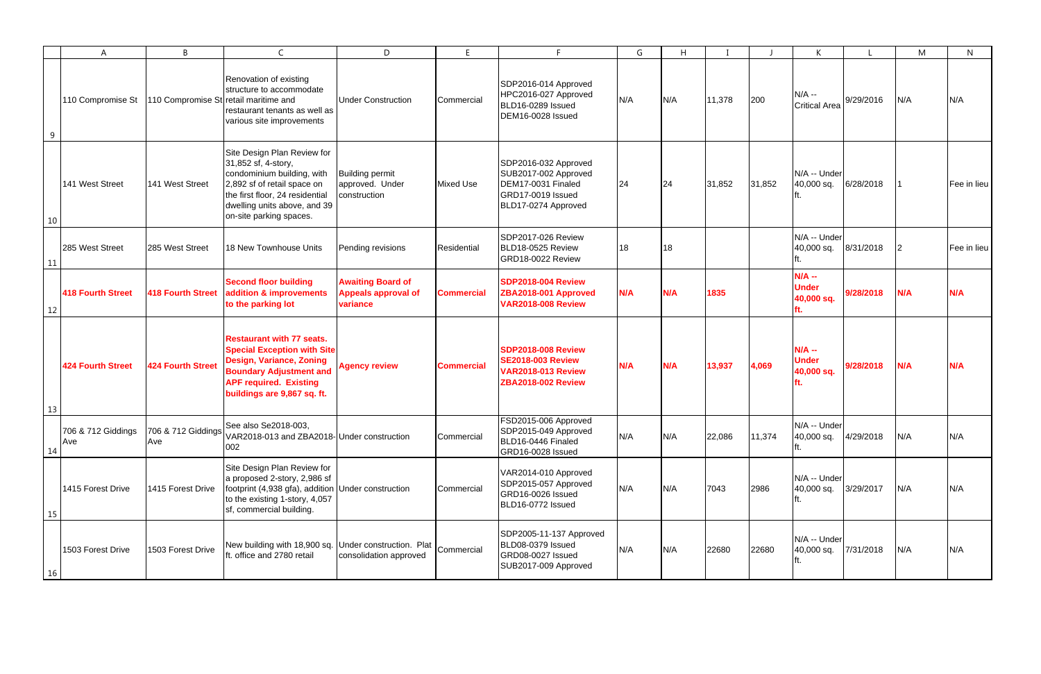|           | A                         | B                                     | C                                                                                                                                                                                                             | D                                                                  | E                 |                                                                                                                 | G   | H   |        |        | K                                            |           | M        | $\mathsf{N}$ |
|-----------|---------------------------|---------------------------------------|---------------------------------------------------------------------------------------------------------------------------------------------------------------------------------------------------------------|--------------------------------------------------------------------|-------------------|-----------------------------------------------------------------------------------------------------------------|-----|-----|--------|--------|----------------------------------------------|-----------|----------|--------------|
| 9         | 110 Compromise St         | 110 Compromise St retail maritime and | Renovation of existing<br>structure to accommodate<br>restaurant tenants as well as<br>various site improvements                                                                                              | <b>Under Construction</b>                                          | Commercial        | SDP2016-014 Approved<br>HPC2016-027 Approved<br>BLD16-0289 Issued<br>DEM16-0028 Issued                          | N/A | N/A | 11,378 | 200    | $N/A -$<br><b>Critical Area</b>              | 9/29/2016 | N/A      | N/A          |
| 10        | 141 West Street           | 141 West Street                       | Site Design Plan Review for<br>31,852 sf, 4-story,<br>condominium building, with<br>2,892 sf of retail space on<br>the first floor, 24 residential<br>dwelling units above, and 39<br>on-site parking spaces. | <b>Building permit</b><br>approved. Under<br>construction          | Mixed Use         | SDP2016-032 Approved<br>SUB2017-002 Approved<br>DEM17-0031 Finaled<br>GRD17-0019 Issued<br>BLD17-0274 Approved  | 24  | 24  | 31,852 | 31,852 | N/A -- Under<br>40,000 sq.                   | 6/28/2018 |          | Fee in lieu  |
| 11        | 285 West Street           | 285 West Street                       | 18 New Townhouse Units                                                                                                                                                                                        | Pending revisions                                                  | Residential       | SDP2017-026 Review<br>BLD18-0525 Review<br>GRD18-0022 Review                                                    | 18  | 18  |        |        | N/A -- Under<br>40,000 sq.                   | 8/31/2018 | <b>2</b> | Fee in lieu  |
| 12        | <b>418 Fourth Street</b>  | <b>418 Fourth Street</b>              | <b>Second floor building</b><br>addition & improvements<br>to the parking lot                                                                                                                                 | <b>Awaiting Board of</b><br><b>Appeals approval of</b><br>variance | <b>Commercial</b> | <b>SDP2018-004 Review</b><br>ZBA2018-001 Approved<br><b>VAR2018-008 Review</b>                                  | N/A | N/A | 1835   |        | $N/A -$<br><b>Under</b><br>40,000 sq.        | 9/28/2018 | N/A      | N/A          |
| 13        | <b>424 Fourth Street</b>  | <b>424 Fourth Street</b>              | <b>Restaurant with 77 seats.</b><br><b>Special Exception with Site</b><br><b>Design, Variance, Zoning</b><br><b>Boundary Adjustment and</b><br><b>APF required. Existing</b><br>buildings are 9,867 sq. ft.   | <b>Agency review</b>                                               | <b>Commercial</b> | <b>SDP2018-008 Review</b><br><b>SE2018-003 Review</b><br><b>VAR2018-013 Review</b><br><b>ZBA2018-002 Review</b> | N/A | N/A | 13,937 | 4,069  | $N/A -$<br><b>Under</b><br>40,000 sq.<br>rt. | 9/28/2018 | N/A      | N/A          |
| 14        | 706 & 712 Giddings<br>Ave | Ave                                   | See also Se2018-003,<br>706 & 712 Giddings Vec also Subseters, 2018-<br>VAR2018-013 and ZBA2018-18-10 construction<br>002                                                                                     |                                                                    | Commercial        | FSD2015-006 Approved<br>SDP2015-049 Approved<br>BLD16-0446 Finaled<br>GRD16-0028 Issued                         | N/A | N/A | 22,086 | 11,374 | N/A -- Under<br>40,000 sq.                   | 4/29/2018 | N/A      | N/A          |
| 15        | 1415 Forest Drive         | 1415 Forest Drive                     | Site Design Plan Review for<br>a proposed 2-story, 2,986 sf<br>footprint (4,938 gfa), addition<br>to the existing 1-story, 4,057<br>sf, commercial building.                                                  | Under construction                                                 | Commercial        | VAR2014-010 Approved<br>SDP2015-057 Approved<br>GRD16-0026 Issued<br>BLD16-0772 Issued                          | N/A | N/A | 7043   | 2986   | N/A -- Under<br>40,000 sq.                   | 3/29/2017 | N/A      | N/A          |
| <b>16</b> | 1503 Forest Drive         | 1503 Forest Drive                     | New building with 18,900 sq. Under construction. Plat $\big _{\rm Commercial}$<br>ft. office and 2780 retail                                                                                                  | consolidation approved                                             |                   | SDP2005-11-137 Approved<br>BLD08-0379 Issued<br>GRD08-0027 Issued<br>SUB2017-009 Approved                       | N/A | N/A | 22680  | 22680  | N/A -- Under<br>40,000 sq.                   | 7/31/2018 | N/A      | N/A          |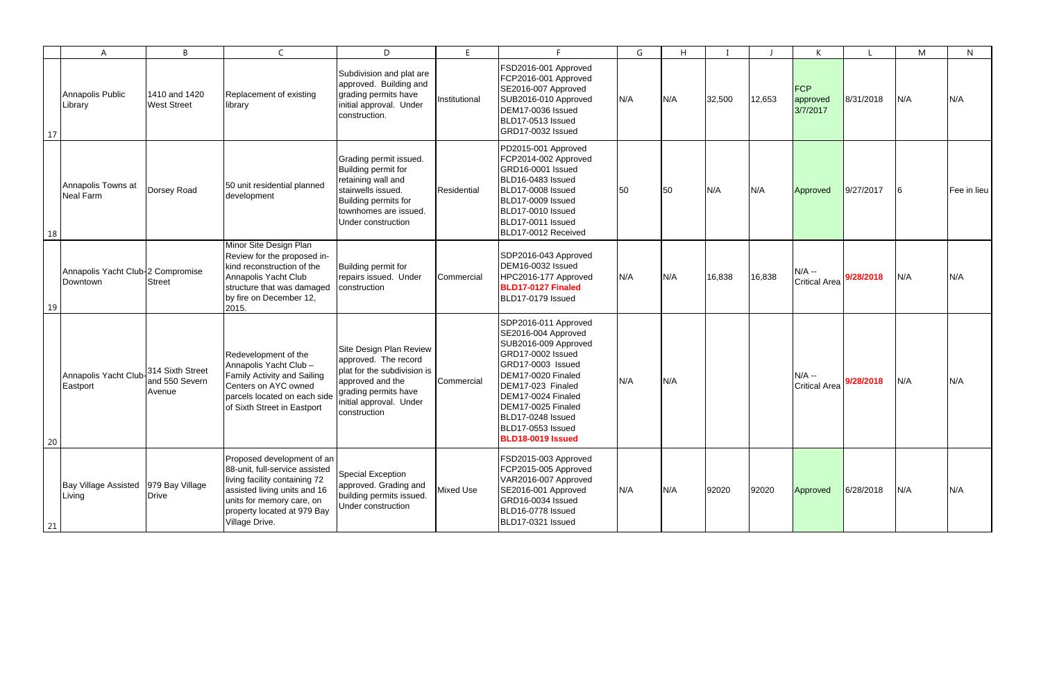|    | A                                                | B                                            | $\mathsf{C}$                                                                                                                                                                                                | D                                                                                                                                                                     | E             |                                                                                                                                                                                                                                                                     | G   | H   |        |        | K                                  |           | M   | N           |
|----|--------------------------------------------------|----------------------------------------------|-------------------------------------------------------------------------------------------------------------------------------------------------------------------------------------------------------------|-----------------------------------------------------------------------------------------------------------------------------------------------------------------------|---------------|---------------------------------------------------------------------------------------------------------------------------------------------------------------------------------------------------------------------------------------------------------------------|-----|-----|--------|--------|------------------------------------|-----------|-----|-------------|
| 17 | Annapolis Public<br>Library                      | 1410 and 1420<br><b>West Street</b>          | Replacement of existing<br>library                                                                                                                                                                          | Subdivision and plat are<br>approved. Building and<br>grading permits have<br>initial approval. Under<br>construction.                                                | Institutional | FSD2016-001 Approved<br>FCP2016-001 Approved<br>SE2016-007 Approved<br>SUB2016-010 Approved<br>DEM17-0036 Issued<br>BLD17-0513 Issued<br>GRD17-0032 Issued                                                                                                          | N/A | N/A | 32,500 | 12,653 | <b>FCP</b><br>approved<br>3/7/2017 | 8/31/2018 | N/A | N/A         |
| 18 | Annapolis Towns at<br><b>Neal Farm</b>           | Dorsey Road                                  | 50 unit residential planned<br>development                                                                                                                                                                  | Grading permit issued.<br>Building permit for<br>retaining wall and<br>stairwells issued.<br>Building permits for<br>townhomes are issued.<br>Under construction      | Residential   | PD2015-001 Approved<br>FCP2014-002 Approved<br>GRD16-0001 Issued<br>BLD16-0483 Issued<br>BLD17-0008 Issued<br>BLD17-0009 Issued<br>BLD17-0010 Issued<br>BLD17-0011 Issued<br>BLD17-0012 Received                                                                    | 50  | 50  | N/A    | N/A    | Approved                           | 9/27/2017 | 6   | Fee in lieu |
| 19 | Annapolis Yacht Club-2 Compromise<br>Downtown    | <b>Street</b>                                | Minor Site Design Plan<br>Review for the proposed in-<br>kind reconstruction of the<br>Annapolis Yacht Club<br>structure that was damaged<br>by fire on December 12,<br>2015.                               | Building permit for<br>repairs issued. Under<br>construction                                                                                                          | Commercial    | SDP2016-043 Approved<br>DEM16-0032 Issued<br>HPC2016-177 Approved<br>BLD17-0127 Finaled<br>BLD17-0179 Issued                                                                                                                                                        | N/A | N/A | 16,838 | 16,838 | $N/A$ --<br><b>Critical Area</b>   | 9/28/2018 | N/A | N/A         |
| 20 | Annapolis Yacht Club-<br>Eastport                | 314 Sixth Street<br>and 550 Severn<br>Avenue | Redevelopment of the<br>Annapolis Yacht Club -<br>Family Activity and Sailing<br>Centers on AYC owned<br>parcels located on each side<br>of Sixth Street in Eastport                                        | Site Design Plan Review<br>approved. The record<br>plat for the subdivision is<br>approved and the<br>grading permits have<br>initial approval. Under<br>construction | Commercial    | SDP2016-011 Approved<br>SE2016-004 Approved<br>SUB2016-009 Approved<br>GRD17-0002 Issued<br>GRD17-0003 Issued<br>DEM17-0020 Finaled<br>DEM17-023 Finaled<br>DEM17-0024 Finaled<br>DEM17-0025 Finaled<br>BLD17-0248 Issued<br>BLD17-0553 Issued<br>BLD18-0019 Issued | N/A | N/A |        |        | $N/A -$<br><b>Critical Area</b>    | 9/28/2018 | N/A | N/A         |
| 21 | Bay Village Assisted   979 Bay Village<br>Living | <b>Drive</b>                                 | Proposed development of an<br>88-unit, full-service assisted<br>living facility containing 72<br>assisted living units and 16<br>units for memory care, on<br>property located at 979 Bay<br>Village Drive. | Special Exception<br>approved. Grading and<br>building permits issued.<br>Under construction                                                                          | Mixed Use     | FSD2015-003 Approved<br>FCP2015-005 Approved<br>VAR2016-007 Approved<br>SE2016-001 Approved<br>GRD16-0034 Issued<br>BLD16-0778 Issued<br>BLD17-0321 Issued                                                                                                          | N/A | N/A | 92020  | 92020  | Approved                           | 6/28/2018 | N/A | N/A         |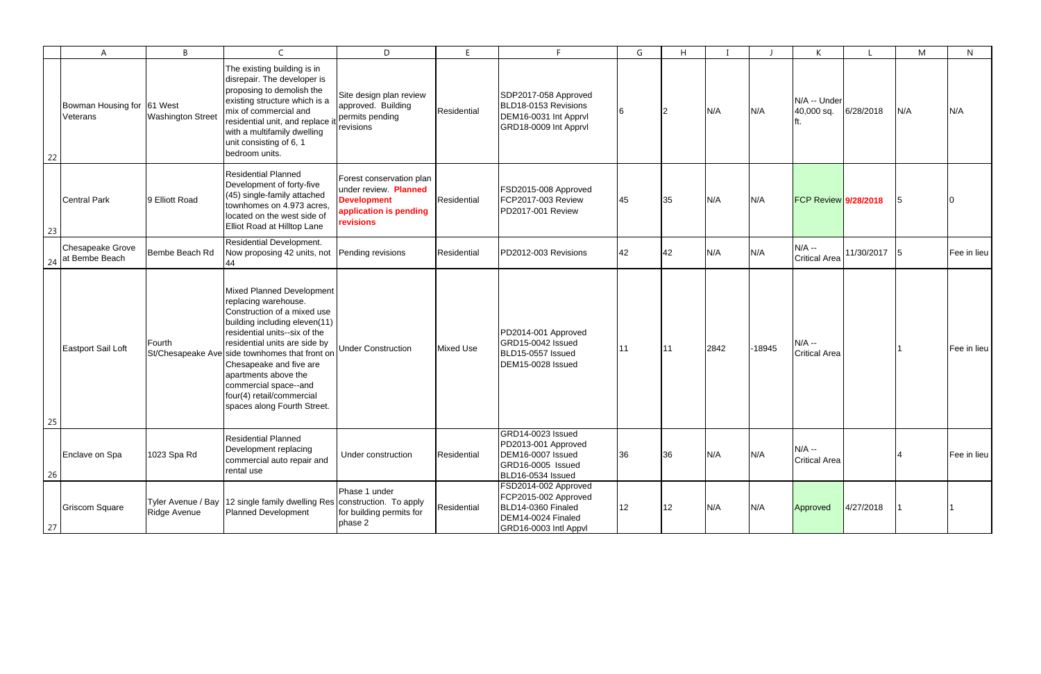|    | A                                      | B                                  | $\mathsf{C}$                                                                                                                                                                                                                                                                                                                                                                         | D                                                                                                                     | E           | E.                                                                                                                | G  | H  |      |          | K                               |            | M   | N           |
|----|----------------------------------------|------------------------------------|--------------------------------------------------------------------------------------------------------------------------------------------------------------------------------------------------------------------------------------------------------------------------------------------------------------------------------------------------------------------------------------|-----------------------------------------------------------------------------------------------------------------------|-------------|-------------------------------------------------------------------------------------------------------------------|----|----|------|----------|---------------------------------|------------|-----|-------------|
| 22 | Bowman Housing for 61 West<br>Veterans | <b>Washington Street</b>           | The existing building is in<br>disrepair. The developer is<br>proposing to demolish the<br>existing structure which is a<br>mix of commercial and<br>residential unit, and replace it<br>with a multifamily dwelling<br>unit consisting of 6, 1<br>bedroom units.                                                                                                                    | Site design plan review<br>approved. Building<br>permits pending<br>revisions                                         | Residential | SDP2017-058 Approved<br>BLD18-0153 Revisions<br>DEM16-0031 Int Apprvl<br>GRD18-0009 Int Apprvl                    |    |    | N/A  | N/A      | N/A -- Under<br>40,000 sq.      | 6/28/2018  | N/A | N/A         |
| 23 | <b>Central Park</b>                    | 9 Elliott Road                     | <b>Residential Planned</b><br>Development of forty-five<br>(45) single-family attached<br>townhomes on 4.973 acres,<br>located on the west side of<br>Elliot Road at Hilltop Lane                                                                                                                                                                                                    | Forest conservation plan<br>under review. Planned<br><b>Development</b><br>application is pending<br><b>revisions</b> | Residential | FSD2015-008 Approved<br>FCP2017-003 Review<br>PD2017-001 Review                                                   | 45 | 35 | N/A  | N/A      | <b>FCP Review 9/28/2018</b>     |            |     |             |
| 24 | Chesapeake Grove<br>at Bembe Beach     | Bembe Beach Rd                     | <b>Residential Development.</b><br>Now proposing 42 units, not                                                                                                                                                                                                                                                                                                                       | Pending revisions                                                                                                     | Residential | PD2012-003 Revisions                                                                                              | 42 | 42 | N/A  | N/A      | $N/A -$<br><b>Critical Area</b> | 11/30/2017 | 15  | Fee in lieu |
| 25 | Eastport Sail Loft                     | Fourth                             | <b>Mixed Planned Development</b><br>replacing warehouse.<br>Construction of a mixed use<br>building including eleven(11)<br>residential units--six of the<br>residential units are side by<br>St/Chesapeake Ave side townhomes that front on<br>Chesapeake and five are<br>apartments above the<br>commercial space--and<br>four(4) retail/commercial<br>spaces along Fourth Street. | <b>Under Construction</b>                                                                                             | Mixed Use   | PD2014-001 Approved<br>GRD15-0042 Issued<br>BLD15-0557 Issued<br>DEM15-0028 Issued                                |    |    | 2842 | $-18945$ | $N/A -$<br><b>Critical Area</b> |            |     | Fee in lieu |
| 26 | Enclave on Spa                         | 1023 Spa Rd                        | <b>Residential Planned</b><br>Development replacing<br>commercial auto repair and<br>rental use                                                                                                                                                                                                                                                                                      | Under construction                                                                                                    | Residential | GRD14-0023 Issued<br>PD2013-001 Approved<br>DEM16-0007 Issued<br>GRD16-0005 Issued<br>BLD16-0534 Issued           | 36 | 36 | N/A  | N/A      | $N/A -$<br><b>Critical Area</b> |            | 4   | Fee in lieu |
| 27 | <b>Griscom Square</b>                  | Tyler Avenue / Bay<br>Ridge Avenue | 12 single family dwelling Res   construction. To apply<br><b>Planned Development</b>                                                                                                                                                                                                                                                                                                 | Phase 1 under<br>for building permits for<br>phase 2                                                                  | Residential | FSD2014-002 Approved<br>FCP2015-002 Approved<br>BLD14-0360 Finaled<br>DEM14-0024 Finaled<br>GRD16-0003 Intl Appvl | 12 | 12 | N/A  | N/A      | Approved                        | 4/27/2018  |     |             |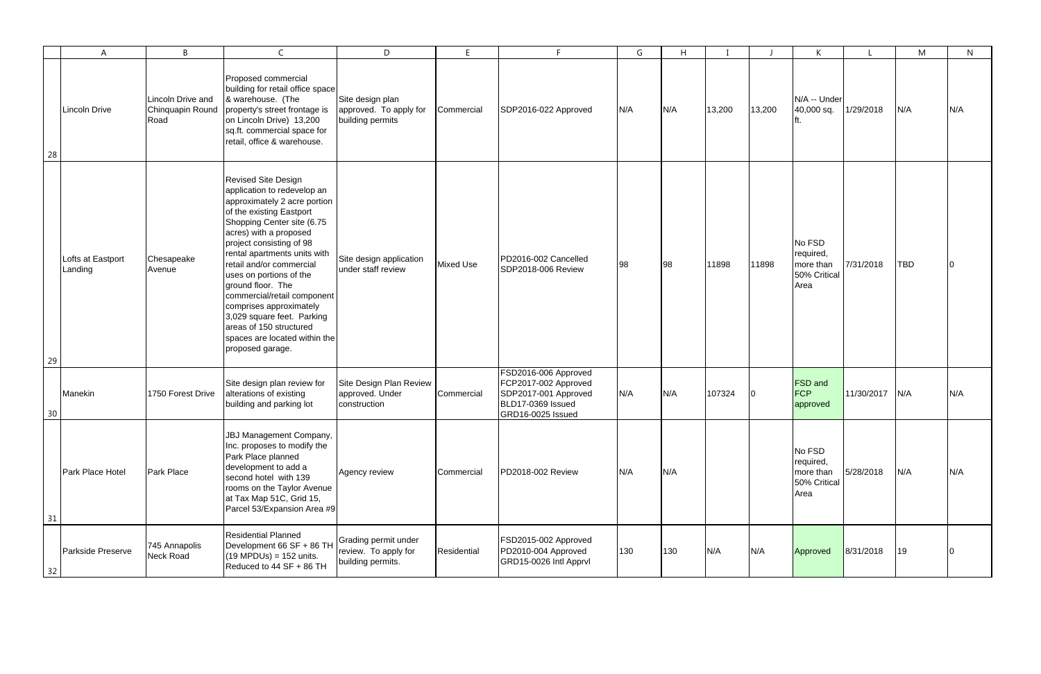|    | A                            | B                                             | $\mathsf{C}$                                                                                                                                                                                                                                                                                                                                                                                                                                                                                  | D                                                                 | E                |                                                                                                                | G   | H   |        |        | K                                                        |            | M   | N   |
|----|------------------------------|-----------------------------------------------|-----------------------------------------------------------------------------------------------------------------------------------------------------------------------------------------------------------------------------------------------------------------------------------------------------------------------------------------------------------------------------------------------------------------------------------------------------------------------------------------------|-------------------------------------------------------------------|------------------|----------------------------------------------------------------------------------------------------------------|-----|-----|--------|--------|----------------------------------------------------------|------------|-----|-----|
| 28 | Lincoln Drive                | Lincoln Drive and<br>Chinquapin Round<br>Road | Proposed commercial<br>building for retail office space<br>& warehouse. (The<br>property's street frontage is<br>on Lincoln Drive) 13,200<br>sq.ft. commercial space for<br>retail, office & warehouse.                                                                                                                                                                                                                                                                                       | Site design plan<br>approved. To apply for<br>building permits    | Commercial       | SDP2016-022 Approved                                                                                           | N/A | N/A | 13,200 | 13,200 | N/A -- Under<br>40,000 sq.                               | 1/29/2018  | N/A | N/A |
| 29 | Lofts at Eastport<br>Landing | Chesapeake<br>Avenue                          | <b>Revised Site Design</b><br>application to redevelop an<br>approximately 2 acre portion<br>of the existing Eastport<br>Shopping Center site (6.75<br>acres) with a proposed<br>project consisting of 98<br>rental apartments units with<br>retail and/or commercial<br>uses on portions of the<br>ground floor. The<br>commercial/retail component<br>comprises approximately<br>3,029 square feet. Parking<br>areas of 150 structured<br>spaces are located within the<br>proposed garage. | Site design application<br>under staff review                     | <b>Mixed Use</b> | PD2016-002 Cancelled<br>SDP2018-006 Review                                                                     | 98  | 98  | 11898  | 11898  | No FSD<br>required,<br>more than<br>50% Critical<br>Area | 7/31/2018  | TBD |     |
| 30 | Manekin                      | 1750 Forest Drive                             | Site design plan review for<br>alterations of existing<br>building and parking lot                                                                                                                                                                                                                                                                                                                                                                                                            | Site Design Plan Review<br>approved. Under<br>construction        | Commercial       | FSD2016-006 Approved<br>FCP2017-002 Approved<br>SDP2017-001 Approved<br>BLD17-0369 Issued<br>GRD16-0025 Issued | N/A | N/A | 107324 | 10.    | <b>FSD</b> and<br>FCP<br>approved                        | 11/30/2017 | N/A | N/A |
| 31 | Park Place Hotel             | <b>Park Place</b>                             | JBJ Management Company,<br>Inc. proposes to modify the<br>Park Place planned<br>development to add a<br>second hotel with 139<br>rooms on the Taylor Avenue<br>at Tax Map 51C, Grid 15,<br>Parcel 53/Expansion Area #9                                                                                                                                                                                                                                                                        | Agency review                                                     | Commercial       | PD2018-002 Review                                                                                              | N/A | N/A |        |        | No FSD<br>required,<br>more than<br>50% Critical<br>Area | 5/28/2018  | N/A | N/A |
| 32 | Parkside Preserve            | 745 Annapolis<br>Neck Road                    | <b>Residential Planned</b><br>Development 66 SF + 86 TH<br>$(19 \text{ MPDUs}) = 152 \text{ units}.$<br>Reduced to 44 SF + 86 TH                                                                                                                                                                                                                                                                                                                                                              | Grading permit under<br>review. To apply for<br>building permits. | Residential      | FSD2015-002 Approved<br>PD2010-004 Approved<br>GRD15-0026 Intl Apprvl                                          | 130 | 130 | N/A    | N/A    | Approved                                                 | 8/31/2018  | 19  |     |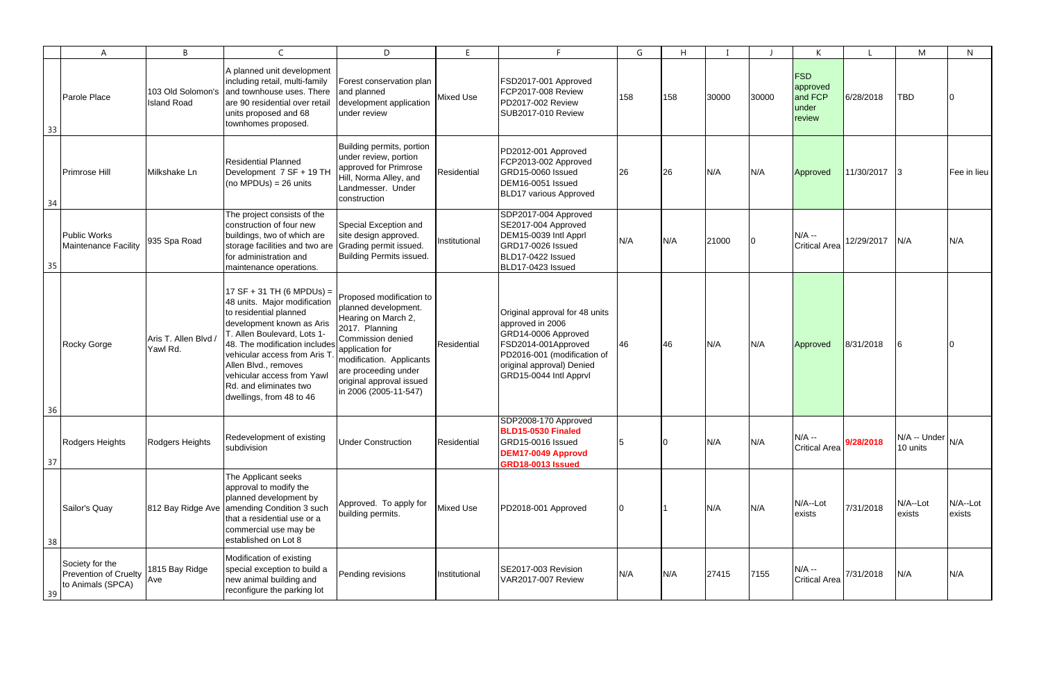|    | $\mathsf{A}$                                                         | B                                       | $\mathsf{C}$                                                                                                                                                                                                                                                                                                                   | D                                                                                                                                                                                                                                          | E                | E.                                                                                                                                                                                     | G   | H   |       |       | K                                                    |            | M                                | N                     |
|----|----------------------------------------------------------------------|-----------------------------------------|--------------------------------------------------------------------------------------------------------------------------------------------------------------------------------------------------------------------------------------------------------------------------------------------------------------------------------|--------------------------------------------------------------------------------------------------------------------------------------------------------------------------------------------------------------------------------------------|------------------|----------------------------------------------------------------------------------------------------------------------------------------------------------------------------------------|-----|-----|-------|-------|------------------------------------------------------|------------|----------------------------------|-----------------------|
| 33 | Parole Place                                                         | 103 Old Solomon's<br><b>Island Road</b> | A planned unit development<br>including retail, multi-family<br>and townhouse uses. There<br>are 90 residential over retail<br>units proposed and 68<br>townhomes proposed.                                                                                                                                                    | Forest conservation plan<br>and planned<br>development application<br>under review                                                                                                                                                         | <b>Mixed Use</b> | FSD2017-001 Approved<br><b>FCP2017-008 Review</b><br>PD2017-002 Review<br><b>SUB2017-010 Review</b>                                                                                    | 158 | 158 | 30000 | 30000 | <b>FSD</b><br>approved<br>and FCP<br>under<br>review | 6/28/2018  | TBD                              |                       |
| 34 | Primrose Hill                                                        | Milkshake Ln                            | <b>Residential Planned</b><br>Development 7 SF + 19 TH<br>$(no MPDUs) = 26 units$                                                                                                                                                                                                                                              | Building permits, portion<br>under review, portion<br>approved for Primrose<br>Hill, Norma Alley, and<br>Landmesser. Under<br>construction                                                                                                 | Residential      | PD2012-001 Approved<br>FCP2013-002 Approved<br><b>GRD15-0060 Issued</b><br>DEM16-0051 Issued<br><b>BLD17 various Approved</b>                                                          | 26  | 26  | N/A   | N/A   | Approved                                             | 11/30/2017 | $\vert$ 3                        | Fee in lieu           |
| 35 | <b>Public Works</b><br><b>Maintenance Facility</b>                   | 935 Spa Road                            | The project consists of the<br>construction of four new<br>buildings, two of which are<br>storage facilities and two are<br>for administration and<br>maintenance operations.                                                                                                                                                  | Special Exception and<br>site design approved.<br>Grading permit issued.<br><b>Building Permits issued.</b>                                                                                                                                | Institutional    | SDP2017-004 Approved<br>SE2017-004 Approved<br>DEM15-0039 Intl Apprl<br>GRD17-0026 Issued<br>BLD17-0422 Issued<br>BLD17-0423 Issued                                                    | N/A | N/A | 21000 |       | $N/A -$<br><b>Critical Area</b>                      | 12/29/2017 | N/A                              | N/A                   |
| 36 | Rocky Gorge                                                          | Aris T. Allen Blvd /<br>Yawl Rd.        | $17 SF + 31 TH (6 MPDUs) =$<br>48 units. Major modification<br>to residential planned<br>development known as Aris<br>T. Allen Boulevard, Lots 1-<br>48. The modification includes<br>vehicular access from Aris T<br>Allen Blvd., removes<br>vehicular access from Yawl<br>Rd. and eliminates two<br>dwellings, from 48 to 46 | Proposed modification to<br>planned development.<br>Hearing on March 2,<br>2017. Planning<br>Commission denied<br>application for<br>modification. Applicants<br>are proceeding under<br>original approval issued<br>in 2006 (2005-11-547) | Residential      | Original approval for 48 units<br>approved in 2006<br>GRD14-0006 Approved<br>FSD2014-001Approved<br>PD2016-001 (modification of<br>original approval) Denied<br>GRD15-0044 Intl Apprvl | 46  | 46  | N/A   | N/A   | Approved                                             | 8/31/2018  |                                  |                       |
| 37 | Rodgers Heights                                                      | Rodgers Heights                         | Redevelopment of existing<br>subdivision                                                                                                                                                                                                                                                                                       | <b>Under Construction</b>                                                                                                                                                                                                                  | Residential      | SDP2008-170 Approved<br>BLD15-0530 Finaled<br>GRD15-0016 Issued<br>DEM17-0049 Approvd<br><b>GRD18-0013 Issued</b>                                                                      | 5   |     | N/A   | N/A   | $N/A -$<br><b>Critical Area</b>                      | 9/28/2018  | $IN/A - Under   N/A$<br>10 units |                       |
| 38 | Sailor's Quay                                                        | 812 Bay Ridge Ave                       | The Applicant seeks<br>approval to modify the<br>planned development by<br>amending Condition 3 such<br>that a residential use or a<br>commercial use may be<br>established on Lot 8                                                                                                                                           | Approved. To apply for<br>building permits.                                                                                                                                                                                                | <b>Mixed Use</b> | PD2018-001 Approved                                                                                                                                                                    |     |     | N/A   | N/A   | N/A--Lot<br>exists                                   | 7/31/2018  | N/A--Lot<br>exists               | $N/A$ --Lot<br>exists |
| 39 | Society for the<br><b>Prevention of Cruelty</b><br>to Animals (SPCA) | 1815 Bay Ridge<br>Ave                   | Modification of existing<br>special exception to build a<br>new animal building and<br>reconfigure the parking lot                                                                                                                                                                                                             | Pending revisions                                                                                                                                                                                                                          | Institutional    | SE2017-003 Revision<br><b>VAR2017-007 Review</b>                                                                                                                                       | N/A | N/A | 27415 | 7155  | $N/A -$<br><b>Critical Area</b>                      | 7/31/2018  | N/A                              | N/A                   |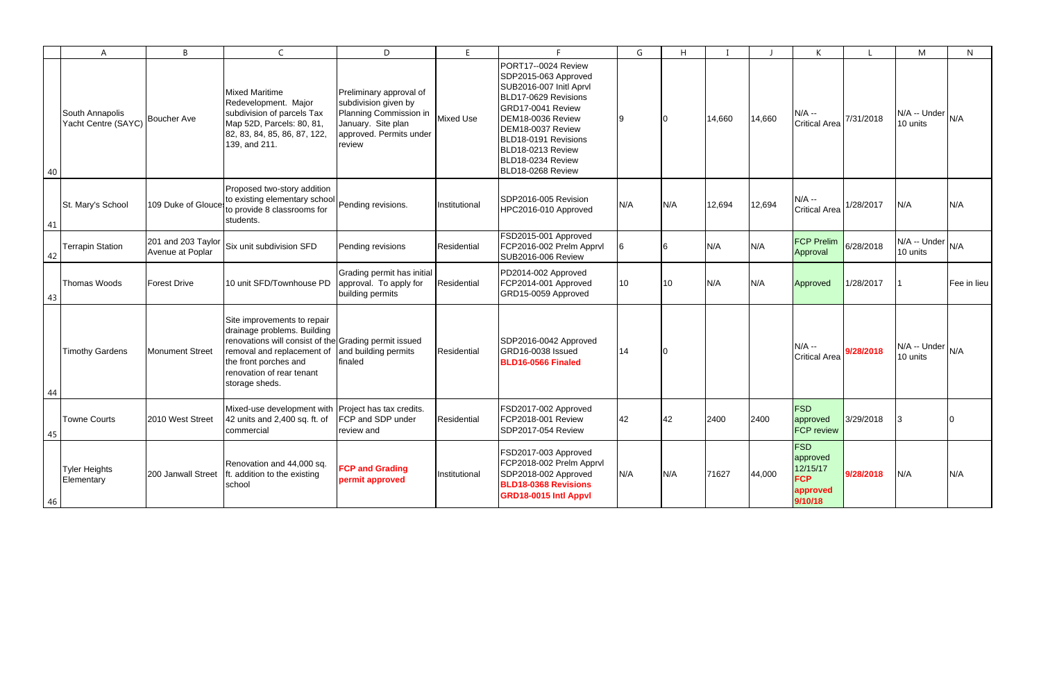|    | A                                      | B                                      | $\mathsf{C}$                                                                                                                                                                                                              | D                                                                                                                                    | E             |                                                                                                                                                                                                                                                      | G   | H   |        |        | K                                                                       |           | M                                | $\mathsf{N}$ |
|----|----------------------------------------|----------------------------------------|---------------------------------------------------------------------------------------------------------------------------------------------------------------------------------------------------------------------------|--------------------------------------------------------------------------------------------------------------------------------------|---------------|------------------------------------------------------------------------------------------------------------------------------------------------------------------------------------------------------------------------------------------------------|-----|-----|--------|--------|-------------------------------------------------------------------------|-----------|----------------------------------|--------------|
| 40 | South Annapolis<br>Yacht Centre (SAYC) | <b>Boucher Ave</b>                     | <b>Mixed Maritime</b><br>Redevelopment. Major<br>subdivision of parcels Tax<br>Map 52D, Parcels: 80, 81,<br>82, 83, 84, 85, 86, 87, 122,<br>139, and 211.                                                                 | Preliminary approval of<br>subdivision given by<br>Planning Commission in<br>January. Site plan<br>approved. Permits under<br>review | Mixed Use     | PORT17--0024 Review<br>SDP2015-063 Approved<br>SUB2016-007 Initl Aprvl<br>BLD17-0629 Revisions<br>GRD17-0041 Review<br>DEM18-0036 Review<br>DEM18-0037 Review<br>BLD18-0191 Revisions<br>BLD18-0213 Review<br>BLD18-0234 Review<br>BLD18-0268 Review |     |     | 14,660 | 14,660 | $N/A -$<br><b>Critical Area</b>                                         | 7/31/2018 | $IN/A - Under   N/A$<br>10 units |              |
| 41 | St. Mary's School                      | 109 Duke of Glouces                    | Proposed two-story addition<br>to existing elementary school Pending revisions.<br>to provide 8 classrooms for<br>students.                                                                                               |                                                                                                                                      | Institutional | SDP2016-005 Revision<br>HPC2016-010 Approved                                                                                                                                                                                                         | N/A | N/A | 12,694 | 12,694 | $N/A -$<br><b>Critical Area</b>                                         | 1/28/2017 | N/A                              | N/A          |
| 42 | <b>Terrapin Station</b>                | 201 and 203 Taylor<br>Avenue at Poplar | Six unit subdivision SFD                                                                                                                                                                                                  | Pending revisions                                                                                                                    | Residential   | FSD2015-001 Approved<br>FCP2016-002 Prelm Apprvl<br>SUB2016-006 Review                                                                                                                                                                               |     |     | N/A    | N/A    | <b>FCP Prelim</b><br>Approval                                           | 6/28/2018 | N/A -- Under<br>10 units         | N/A          |
| 43 | Thomas Woods                           | <b>Forest Drive</b>                    | 10 unit SFD/Townhouse PD                                                                                                                                                                                                  | Grading permit has initial<br>approval. To apply for<br>building permits                                                             | Residential   | PD2014-002 Approved<br>FCP2014-001 Approved<br>GRD15-0059 Approved                                                                                                                                                                                   | 10  | 10  | N/A    | N/A    | Approved                                                                | 1/28/2017 |                                  | Fee in lieu  |
| 44 | <b>Timothy Gardens</b>                 | <b>Monument Street</b>                 | Site improvements to repair<br>drainage problems. Building<br>renovations will consist of the Grading permit issued<br>removal and replacement of<br>the front porches and<br>renovation of rear tenant<br>storage sheds. | and building permits<br>finaled                                                                                                      | Residential   | SDP2016-0042 Approved<br>GRD16-0038 Issued<br>BLD16-0566 Finaled                                                                                                                                                                                     | 14  |     |        |        | $N/A -$<br><b>Critical Area</b>                                         | 9/28/2018 | $IN/A - Under   N/A$<br>10 units |              |
| 45 | <b>Towne Courts</b>                    | 2010 West Street                       | Mixed-use development with Project has tax credits.<br>42 units and 2,400 sq. ft. of<br>commercial                                                                                                                        | FCP and SDP under<br>review and                                                                                                      | Residential   | FSD2017-002 Approved<br>FCP2018-001 Review<br>SDP2017-054 Review                                                                                                                                                                                     | 42  | 42  | 2400   | 2400   | <b>FSD</b><br>approved<br><b>FCP review</b>                             | 3/29/2018 |                                  |              |
| 46 | <b>Tyler Heights</b><br>Elementary     | 200 Janwall Street                     | Renovation and 44,000 sq.<br>ft. addition to the existing<br>school                                                                                                                                                       | <b>FCP and Grading</b><br>permit approved                                                                                            | Institutional | FSD2017-003 Approved<br>FCP2018-002 Prelm Apprvl<br>SDP2018-002 Approved<br><b>BLD18-0368 Revisions</b><br>GRD18-0015 Intl Appvl                                                                                                                     | N/A | N/A | 71627  | 44,000 | <b>FSD</b><br>approved<br>12/15/17<br><b>FCP</b><br>approved<br>9/10/18 | 9/28/2018 | N/A                              | N/A          |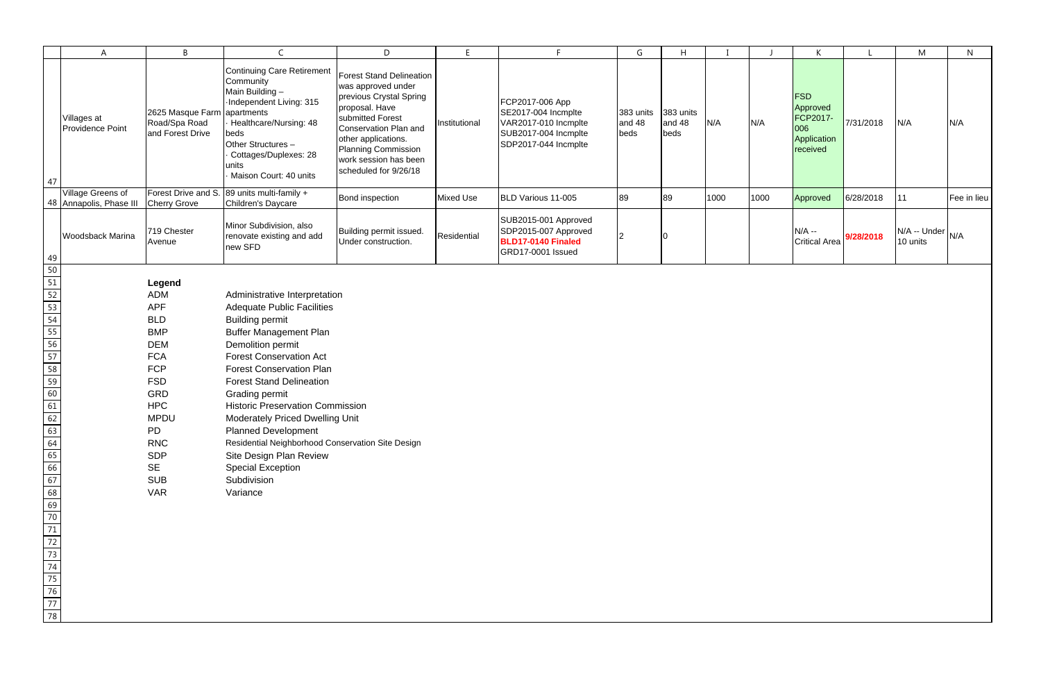|                                                                                                                                                                                       | A                                            | B                                                                                                                                                                                                                                            | $\mathsf{C}$                                                                                                                                                                                                                                                                                                                                                                                                                                                                                                                           | D                                                                                                                                                                                                                                               | E                | F                                                                                                              | G                           | H                           |      |      | K                                                                    |           | M                                                           | N           |
|---------------------------------------------------------------------------------------------------------------------------------------------------------------------------------------|----------------------------------------------|----------------------------------------------------------------------------------------------------------------------------------------------------------------------------------------------------------------------------------------------|----------------------------------------------------------------------------------------------------------------------------------------------------------------------------------------------------------------------------------------------------------------------------------------------------------------------------------------------------------------------------------------------------------------------------------------------------------------------------------------------------------------------------------------|-------------------------------------------------------------------------------------------------------------------------------------------------------------------------------------------------------------------------------------------------|------------------|----------------------------------------------------------------------------------------------------------------|-----------------------------|-----------------------------|------|------|----------------------------------------------------------------------|-----------|-------------------------------------------------------------|-------------|
| 47                                                                                                                                                                                    | Villages at<br>Providence Point              | 2625 Masque Farm apartments<br>Road/Spa Road<br>and Forest Drive                                                                                                                                                                             | <b>Continuing Care Retirement</b><br>Community<br>Main Building-<br>-Independent Living: 315<br>Healthcare/Nursing: 48<br>beds<br>Other Structures -<br>Cottages/Duplexes: 28<br>units<br>Maison Court: 40 units                                                                                                                                                                                                                                                                                                                       | <b>Forest Stand Delineation</b><br>was approved under<br>previous Crystal Spring<br>proposal. Have<br>submitted Forest<br>Conservation Plan and<br>other applications.<br>Planning Commission<br>work session has been<br>scheduled for 9/26/18 | Institutional    | FCP2017-006 App<br>SE2017-004 Incmplte<br>VAR2017-010 Incmplte<br>SUB2017-004 Incmplte<br>SDP2017-044 Incmplte | 383 units<br>and 48<br>beds | 383 units<br>and 48<br>beds | N/A  | N/A  | <b>FSD</b><br>Approved<br>FCP2017-<br>006<br>Application<br>received | 7/31/2018 | N/A                                                         | N/A         |
|                                                                                                                                                                                       | Village Greens of<br>48 Annapolis, Phase III | Forest Drive and S.<br><b>Cherry Grove</b>                                                                                                                                                                                                   | 89 units multi-family +<br>Children's Daycare                                                                                                                                                                                                                                                                                                                                                                                                                                                                                          | Bond inspection                                                                                                                                                                                                                                 | <b>Mixed Use</b> | BLD Various 11-005                                                                                             | 89                          | 89                          | 1000 | 1000 | Approved                                                             | 6/28/2018 | 11                                                          | Fee in lieu |
|                                                                                                                                                                                       | Woodsback Marina                             | 719 Chester<br>Avenue                                                                                                                                                                                                                        | Minor Subdivision, also<br>renovate existing and add<br>new SFD                                                                                                                                                                                                                                                                                                                                                                                                                                                                        | Building permit issued.<br>Under construction.                                                                                                                                                                                                  | Residential      | SUB2015-001 Approved<br>SDP2015-007 Approved<br>BLD17-0140 Finaled<br>GRD17-0001 Issued                        |                             |                             |      |      | $N/A -$<br><b>Critical Area</b>                                      | 9/28/2018 | $\mathsf{IN/A}$ -- Under $\big _{\mathsf{N/A}}$<br>10 units |             |
| 49<br>50                                                                                                                                                                              |                                              |                                                                                                                                                                                                                                              |                                                                                                                                                                                                                                                                                                                                                                                                                                                                                                                                        |                                                                                                                                                                                                                                                 |                  |                                                                                                                |                             |                             |      |      |                                                                      |           |                                                             |             |
| $\frac{51}{52}$<br>$\frac{53}{54}$<br>$\frac{55}{56}$<br>58<br>59<br>$60$<br>61<br>62<br>63<br>64<br>65<br>66<br>67<br>68<br>69<br>70<br>71<br>72<br>73<br>74<br>75<br>76<br>77<br>78 |                                              | Legend<br><b>ADM</b><br><b>APF</b><br><b>BLD</b><br><b>BMP</b><br><b>DEM</b><br><b>FCA</b><br><b>FCP</b><br><b>FSD</b><br>GRD<br><b>HPC</b><br><b>MPDU</b><br><b>PD</b><br><b>RNC</b><br><b>SDP</b><br><b>SE</b><br><b>SUB</b><br><b>VAR</b> | Administrative Interpretation<br><b>Adequate Public Facilities</b><br><b>Building permit</b><br><b>Buffer Management Plan</b><br>Demolition permit<br><b>Forest Conservation Act</b><br><b>Forest Conservation Plan</b><br><b>Forest Stand Delineation</b><br>Grading permit<br><b>Historic Preservation Commission</b><br><b>Moderately Priced Dwelling Unit</b><br><b>Planned Development</b><br>Residential Neighborhood Conservation Site Design<br>Site Design Plan Review<br><b>Special Exception</b><br>Subdivision<br>Variance |                                                                                                                                                                                                                                                 |                  |                                                                                                                |                             |                             |      |      |                                                                      |           |                                                             |             |